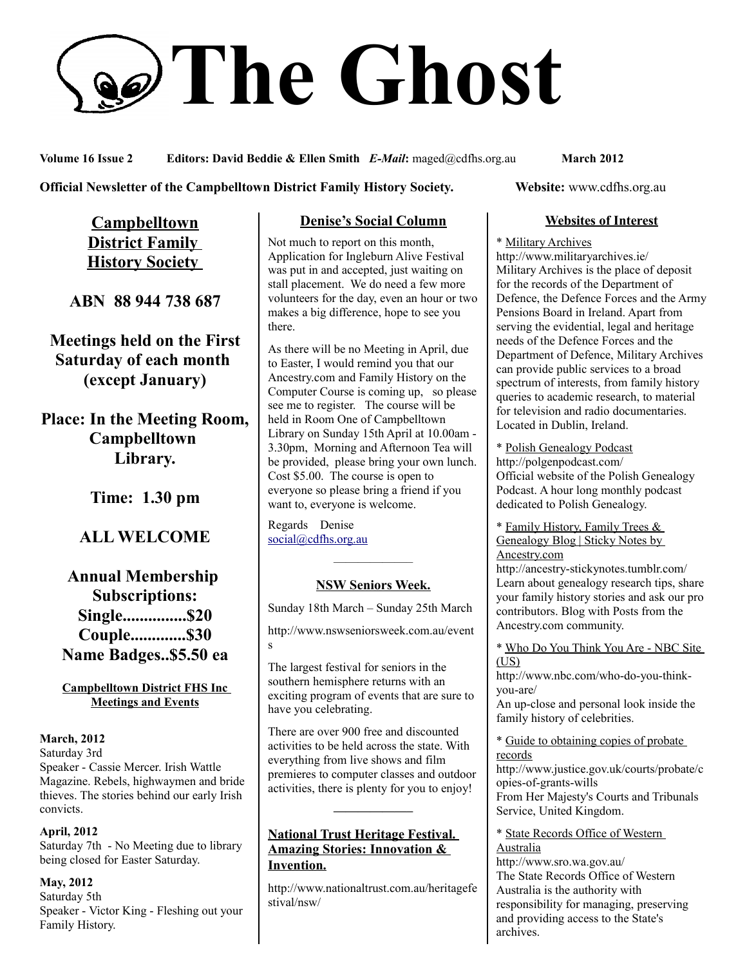# **The Ghost**

**Volume 16 Issue 2 Editors: David Beddie & Ellen Smith** *E-Mail***:** maged@cdfhs.org.au **March 2012**

### **Official Newsletter of the Campbelltown District Family History Society. Website: www.cdfhs.org.au**

**Campbelltown District Family History Society** 

**ABN 88 944 738 687**

**Meetings held on the First Saturday of each month (except January)**

**Place: In the Meeting Room, Campbelltown Library.**

**Time: 1.30 pm**

# **ALL WELCOME**

**Annual Membership Subscriptions: Single...............\$20 Couple.............\$30 Name Badges..\$5.50 ea**

**Campbelltown District FHS Inc Meetings and Events**

### **March, 2012**

Saturday 3rd Speaker - Cassie Mercer. Irish Wattle Magazine. Rebels, highwaymen and bride thieves. The stories behind our early Irish convicts.

### **April, 2012**

Saturday 7th - No Meeting due to library being closed for Easter Saturday.

**May, 2012** Saturday 5th Speaker - Victor King - Fleshing out your Family History.

# **Denise's Social Column**

Not much to report on this month, Application for Ingleburn Alive Festival was put in and accepted, just waiting on stall placement. We do need a few more volunteers for the day, even an hour or two makes a big difference, hope to see you there.

As there will be no Meeting in April, due to Easter, I would remind you that our Ancestry.com and Family History on the Computer Course is coming up, so please see me to register. The course will be held in Room One of Campbelltown Library on Sunday 15th April at 10.00am - 3.30pm, Morning and Afternoon Tea will be provided, please bring your own lunch. Cost \$5.00. The course is open to everyone so please bring a friend if you want to, everyone is welcome.

Regards Denise [social@cdfhs.org.au](mailto:social@cdfhs.org.au)

# ——————– **NSW Seniors Week.**

Sunday 18th March – Sunday 25th March

http://www.nswseniorsweek.com.au/event s

The largest festival for seniors in the southern hemisphere returns with an exciting program of events that are sure to have you celebrating.

There are over 900 free and discounted activities to be held across the state. With everything from live shows and film premieres to computer classes and outdoor activities, there is plenty for you to enjoy!

**——————–**

### **National Trust Heritage Festival. Amazing Stories: Innovation & Invention.**

http://www.nationaltrust.com.au/heritagefe stival/nsw/

### **Websites of Interest**

### \* Military Archives

http://www.militaryarchives.ie/ Military Archives is the place of deposit for the records of the Department of Defence, the Defence Forces and the Army Pensions Board in Ireland. Apart from serving the evidential, legal and heritage needs of the Defence Forces and the Department of Defence, Military Archives can provide public services to a broad spectrum of interests, from family history queries to academic research, to material for television and radio documentaries. Located in Dublin, Ireland.

\* Polish Genealogy Podcast http://polgenpodcast.com/ Official website of the Polish Genealogy Podcast. A hour long monthly podcast dedicated to Polish Genealogy.

\* Family History, Family Trees & Genealogy Blog | Sticky Notes by Ancestry.com

http://ancestry-stickynotes.tumblr.com/ Learn about genealogy research tips, share your family history stories and ask our pro contributors. Blog with Posts from the Ancestry.com community.

\* Who Do You Think You Are - NBC Site  $(US)$ 

http://www.nbc.com/who-do-you-thinkyou-are/

An up-close and personal look inside the family history of celebrities.

\* Guide to obtaining copies of probate records

http://www.justice.gov.uk/courts/probate/c opies-of-grants-wills From Her Majesty's Courts and Tribunals

Service, United Kingdom.

\* State Records Office of Western Australia

http://www.sro.wa.gov.au/ The State Records Office of Western Australia is the authority with responsibility for managing, preserving and providing access to the State's archives.